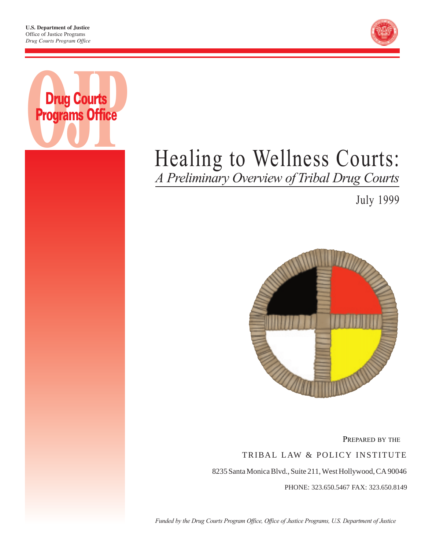



# Healing to Wellness Courts: *A Preliminary Overview of Tribal Drug Courts*

July 1999



PREPARED BY THE

TRIBAL LAW & POLICY INSTITUTE

8235 Santa Monica Blvd., Suite 211, West Hollywood, CA 90046

PHONE: 323.650.5467 FAX: 323.650.8149

*Funded by the Drug Courts Program Office, Office of Justice Programs, U.S. Department of Justice*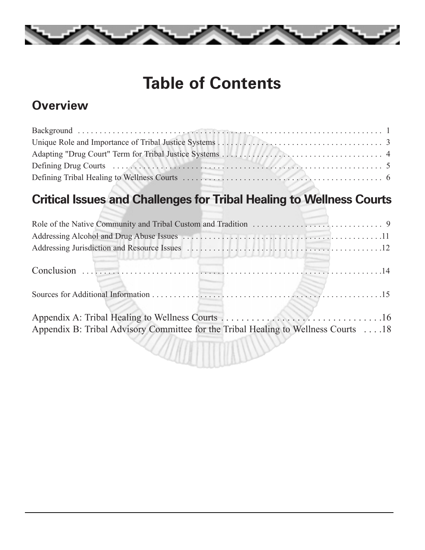

# **Table of Contents**

# **Overview**

# **Critical Issues and Challenges for Tribal Healing to Wellness Courts**

| Appendix B: Tribal Advisory Committee for the Tribal Healing to Wellness Courts 18 |  |
|------------------------------------------------------------------------------------|--|
|                                                                                    |  |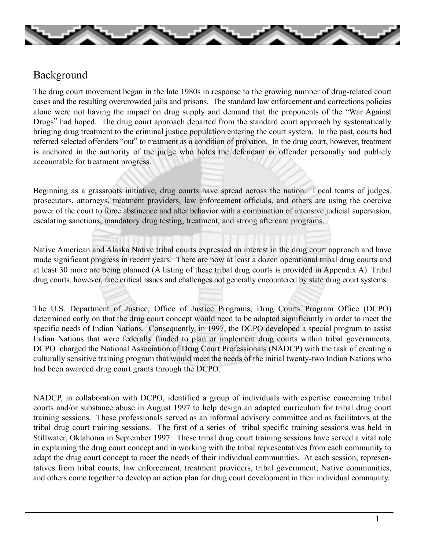

# Background

The drug court movement began in the late 1980s in response to the growing number of drug-related court cases and the resulting overcrowded jails and prisons. The standard law enforcement and corrections policies alone were not having the impact on drug supply and demand that the proponents of the "War Against Drugs" had hoped. The drug court approach departed from the standard court approach by systematically bringing drug treatment to the criminal justice population entering the court system. In the past, courts had referred selected offenders "out" to treatment as a condition of probation. In the drug court, however, treatment is anchored in the authority of the judge who holds the defendant or offender personally and publicly accountable for treatment progress.

Beginning as a grassroots initiative, drug courts have spread across the nation. Local teams of judges, prosecutors, attorneys, treatment providers, law enforcement officials, and others are using the coercive power of the court to force abstinence and alter behavior with a combination of intensive judicial supervision, escalating sanctions, mandatory drug testing, treatment, and strong aftercare programs.

Native American and Alaska Native tribal courts expressed an interest in the drug court approach and have made significant progress in recent years. There are now at least a dozen operational tribal drug courts and at least 30 more are being planned (A listing of these tribal drug courts is provided in Appendix A). Tribal drug courts, however, face critical issues and challenges not generally encountered by state drug court systems.

The U.S. Department of Justice, Office of Justice Programs, Drug Courts Program Office (DCPO) determined early on that the drug court concept would need to be adapted significantly in order to meet the specific needs of Indian Nations. Consequently, in 1997, the DCPO developed a special program to assist Indian Nations that were federally funded to plan or implement drug courts within tribal governments. DCPO charged the National Association of Drug Court Professionals (NADCP) with the task of creating a culturally sensitive training program that would meet the needs of the initial twenty-two Indian Nations who had been awarded drug court grants through the DCPO.

NADCP, in collaboration with DCPO, identified a group of individuals with expertise concerning tribal courts and/or substance abuse in August 1997 to help design an adapted curriculum for tribal drug court training sessions. These professionals served as an informal advisory committee and as facilitators at the tribal drug court training sessions. The first of a series of tribal specific training sessions was held in Stillwater, Oklahoma in September 1997. These tribal drug court training sessions have served a vital role in explaining the drug court concept and in working with the tribal representatives from each community to adapt the drug court concept to meet the needs of their individual communities. At each session, representatives from tribal courts, law enforcement, treatment providers, tribal government, Native communities, and others come together to develop an action plan for drug court development in their individual community.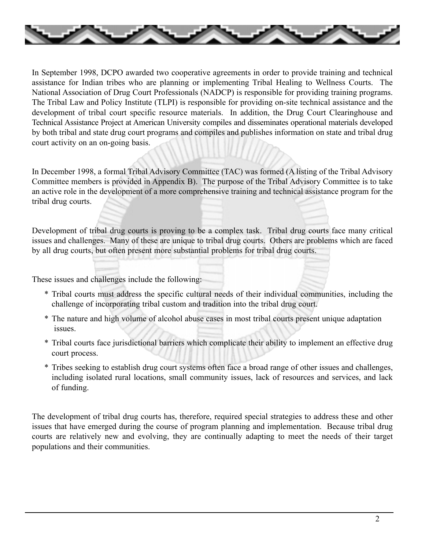

In September 1998, DCPO awarded two cooperative agreements in order to provide training and technical assistance for Indian tribes who are planning or implementing Tribal Healing to Wellness Courts. The National Association of Drug Court Professionals (NADCP) is responsible for providing training programs. The Tribal Law and Policy Institute (TLPI) is responsible for providing on-site technical assistance and the development of tribal court specific resource materials. In addition, the Drug Court Clearinghouse and Technical Assistance Project at American University compiles and disseminates operational materials developed by both tribal and state drug court programs and compiles and publishes information on state and tribal drug court activity on an on-going basis.

In December 1998, a formal Tribal Advisory Committee (TAC) was formed (A listing of the Tribal Advisory Committee members is provided in Appendix B). The purpose of the Tribal Advisory Committee is to take an active role in the development of a more comprehensive training and technical assistance program for the tribal drug courts.

Development of tribal drug courts is proving to be a complex task. Tribal drug courts face many critical issues and challenges. Many of these are unique to tribal drug courts. Others are problems which are faced by all drug courts, but often present more substantial problems for tribal drug courts.

These issues and challenges include the following:

- \* Tribal courts must address the specific cultural needs of their individual communities, including the challenge of incorporating tribal custom and tradition into the tribal drug court.
- \* The nature and high volume of alcohol abuse cases in most tribal courts present unique adaptation issues.
- \* Tribal courts face jurisdictional barriers which complicate their ability to implement an effective drug court process.
- \* Tribes seeking to establish drug court systems often face a broad range of other issues and challenges, including isolated rural locations, small community issues, lack of resources and services, and lack of funding.

The development of tribal drug courts has, therefore, required special strategies to address these and other issues that have emerged during the course of program planning and implementation. Because tribal drug courts are relatively new and evolving, they are continually adapting to meet the needs of their target populations and their communities.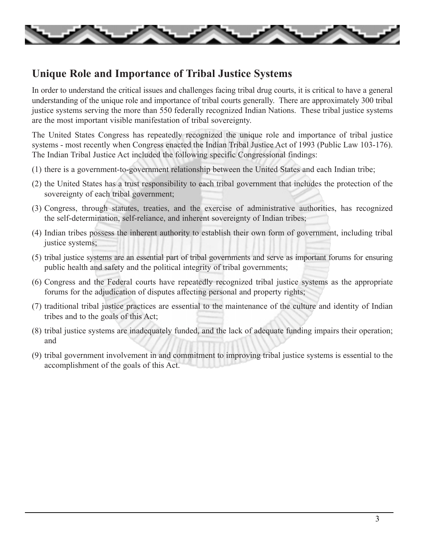

# **Unique Role and Importance of Tribal Justice Systems**

In order to understand the critical issues and challenges facing tribal drug courts, it is critical to have a general understanding of the unique role and importance of tribal courts generally. There are approximately 300 tribal justice systems serving the more than 550 federally recognized Indian Nations. These tribal justice systems are the most important visible manifestation of tribal sovereignty.

The United States Congress has repeatedly recognized the unique role and importance of tribal justice systems - most recently when Congress enacted the Indian Tribal Justice Act of 1993 (Public Law 103-176). The Indian Tribal Justice Act included the following specific Congressional findings:

- (1) there is a government-to-government relationship between the United States and each Indian tribe;
- (2) the United States has a trust responsibility to each tribal government that includes the protection of the sovereignty of each tribal government;
- (3) Congress, through statutes, treaties, and the exercise of administrative authorities, has recognized the self-determination, self-reliance, and inherent sovereignty of Indian tribes;
- (4) Indian tribes possess the inherent authority to establish their own form of government, including tribal justice systems;
- (5) tribal justice systems are an essential part of tribal governments and serve as important forums for ensuring public health and safety and the political integrity of tribal governments;
- (6) Congress and the Federal courts have repeatedly recognized tribal justice systems as the appropriate forums for the adjudication of disputes affecting personal and property rights;
- (7) traditional tribal justice practices are essential to the maintenance of the culture and identity of Indian tribes and to the goals of this Act;
- (8) tribal justice systems are inadequately funded, and the lack of adequate funding impairs their operation; and
- (9) tribal government involvement in and commitment to improving tribal justice systems is essential to the accomplishment of the goals of this Act.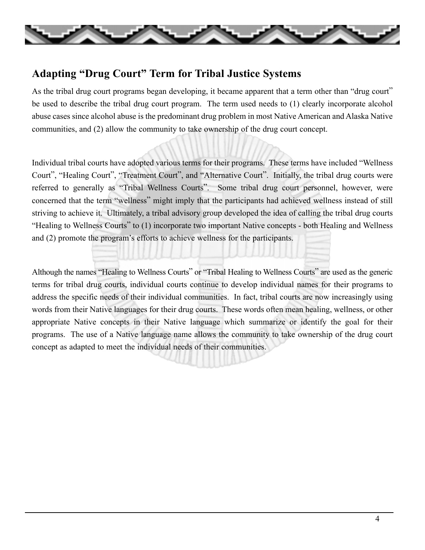

## **Adapting "Drug Court" Term for Tribal Justice Systems**

As the tribal drug court programs began developing, it became apparent that a term other than "drug court" be used to describe the tribal drug court program. The term used needs to (1) clearly incorporate alcohol abuse cases since alcohol abuse is the predominant drug problem in most Native American and Alaska Native communities, and (2) allow the community to take ownership of the drug court concept.

Individual tribal courts have adopted various terms for their programs. These terms have included "Wellness Court", "Healing Court", "Treatment Court", and "Alternative Court". Initially, the tribal drug courts were referred to generally as "Tribal Wellness Courts". Some tribal drug court personnel, however, were concerned that the term "wellness" might imply that the participants had achieved wellness instead of still striving to achieve it. Ultimately, a tribal advisory group developed the idea of calling the tribal drug courts "Healing to Wellness Courts" to (1) incorporate two important Native concepts - both Healing and Wellness and (2) promote the program's efforts to achieve wellness for the participants.

Although the names "Healing to Wellness Courts" or "Tribal Healing to Wellness Courts" are used as the generic terms for tribal drug courts, individual courts continue to develop individual names for their programs to address the specific needs of their individual communities. In fact, tribal courts are now increasingly using words from their Native languages for their drug courts. These words often mean healing, wellness, or other appropriate Native concepts in their Native language which summarize or identify the goal for their programs. The use of a Native language name allows the community to take ownership of the drug court concept as adapted to meet the individual needs of their communities.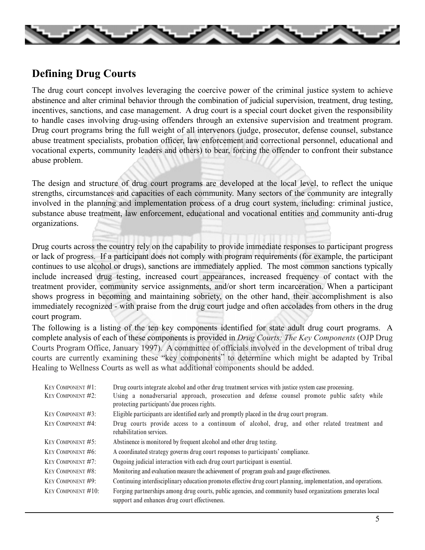

# **Defining Drug Courts**

The drug court concept involves leveraging the coercive power of the criminal justice system to achieve abstinence and alter criminal behavior through the combination of judicial supervision, treatment, drug testing, incentives, sanctions, and case management. A drug court is a special court docket given the responsibility to handle cases involving drug-using offenders through an extensive supervision and treatment program. Drug court programs bring the full weight of all intervenors (judge, prosecutor, defense counsel, substance abuse treatment specialists, probation officer, law enforcement and correctional personnel, educational and vocational experts, community leaders and others) to bear, forcing the offender to confront their substance abuse problem.

The design and structure of drug court programs are developed at the local level, to reflect the unique strengths, circumstances and capacities of each community. Many sectors of the community are integrally involved in the planning and implementation process of a drug court system, including: criminal justice, substance abuse treatment, law enforcement, educational and vocational entities and community anti-drug organizations.

Drug courts across the country rely on the capability to provide immediate responses to participant progress or lack of progress. If a participant does not comply with program requirements (for example, the participant continues to use alcohol or drugs), sanctions are immediately applied. The most common sanctions typically include increased drug testing, increased court appearances, increased frequency of contact with the treatment provider, community service assignments, and/or short term incarceration. When a participant shows progress in becoming and maintaining sobriety, on the other hand, their accomplishment is also immediately recognized - with praise from the drug court judge and often accolades from others in the drug court program.

The following is a listing of the ten key components identified for state adult drug court programs. A complete analysis of each of these components is provided in *Drug Courts: The Key Components* (OJP Drug Courts Program Office, January 1997). A committee of officials involved in the development of tribal drug courts are currently examining these "key components" to determine which might be adapted by Tribal Healing to Wellness Courts as well as what additional components should be added.

| <b>KEY COMPONENT <math>#1</math>:</b><br><b>KEY COMPONENT #2:</b> | Drug courts integrate alcohol and other drug treatment services with justice system case processing.<br>Using a nonadversarial approach, prosecution and defense counsel promote public safety while<br>protecting participants' due process rights. |
|-------------------------------------------------------------------|------------------------------------------------------------------------------------------------------------------------------------------------------------------------------------------------------------------------------------------------------|
| <b>KEY COMPONENT <math>#3</math>:</b>                             | Eligible participants are identified early and promptly placed in the drug court program.                                                                                                                                                            |
| KEY COMPONENT #4:                                                 | Drug courts provide access to a continuum of alcohol, drug, and other related treatment and<br>rehabilitation services.                                                                                                                              |
| <b>KEY COMPONENT #5:</b>                                          | Abstinence is monitored by frequent alcohol and other drug testing.                                                                                                                                                                                  |
| <b>KEY COMPONENT #6:</b>                                          | A coordinated strategy governs drug court responses to participants' compliance.                                                                                                                                                                     |
| <b>KEY COMPONENT #7:</b>                                          | Ongoing judicial interaction with each drug court participant is essential.                                                                                                                                                                          |
| <b>KEY COMPONENT #8:</b>                                          | Monitoring and evaluation measure the achievement of program goals and gauge effectiveness.                                                                                                                                                          |
| <b>KEY COMPONENT #9:</b>                                          | Continuing interdisciplinary education promotes effective drug court planning, implementation, and operations.                                                                                                                                       |
| <b>KEY COMPONENT <math>\#10</math>:</b>                           | Forging partnerships among drug courts, public agencies, and community based organizations generates local<br>support and enhances drug court effectiveness.                                                                                         |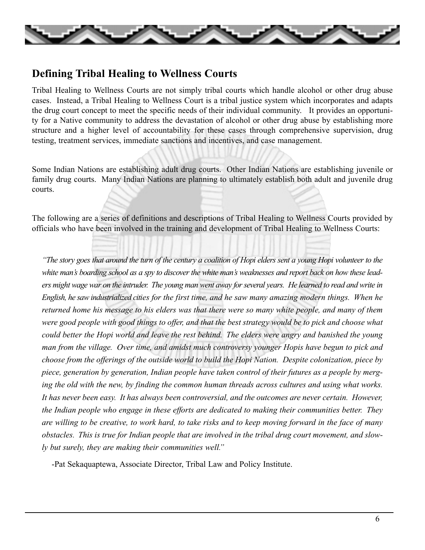

### **Defining Tribal Healing to Wellness Courts**

Tribal Healing to Wellness Courts are not simply tribal courts which handle alcohol or other drug abuse cases. Instead, a Tribal Healing to Wellness Court is a tribal justice system which incorporates and adapts the drug court concept to meet the specific needs of their individual community. It provides an opportunity for a Native community to address the devastation of alcohol or other drug abuse by establishing more structure and a higher level of accountability for these cases through comprehensive supervision, drug testing, treatment services, immediate sanctions and incentives, and case management.

Some Indian Nations are establishing adult drug courts. Other Indian Nations are establishing juvenile or family drug courts. Many Indian Nations are planning to ultimately establish both adult and juvenile drug courts.

The following are a series of definitions and descriptions of Tribal Healing to Wellness Courts provided by officials who have been involved in the training and development of Tribal Healing to Wellness Courts:

*"The story goes that around the turn of the century a coalition of Hopi elders sent a young Hopi volunteer to the white man's boarding school as a spy to discover the white man's weaknesses and report back on how these leaders might wage war on the intruder. The young man went away for several years. He learned to read and write in English, he saw industrialized cities for the first time, and he saw many amazing modern things. When he returned home his message to his elders was that there were so many white people, and many of them were good people with good things to offer, and that the best strategy would be to pick and choose what could better the Hopi world and leave the rest behind. The elders were angry and banished the young man from the village. Over time, and amidst much controversy younger Hopis have begun to pick and choose from the offerings of the outside world to build the Hopi Nation. Despite colonization, piece by piece, generation by generation, Indian people have taken control of their futures as a people by merging the old with the new, by finding the common human threads across cultures and using what works. It has never been easy. It has always been controversial, and the outcomes are never certain. However, the Indian people who engage in these efforts are dedicated to making their communities better. They are willing to be creative, to work hard, to take risks and to keep moving forward in the face of many obstacles. This is true for Indian people that are involved in the tribal drug court movement, and slowly but surely, they are making their communities well."* 

-Pat Sekaquaptewa, Associate Director, Tribal Law and Policy Institute.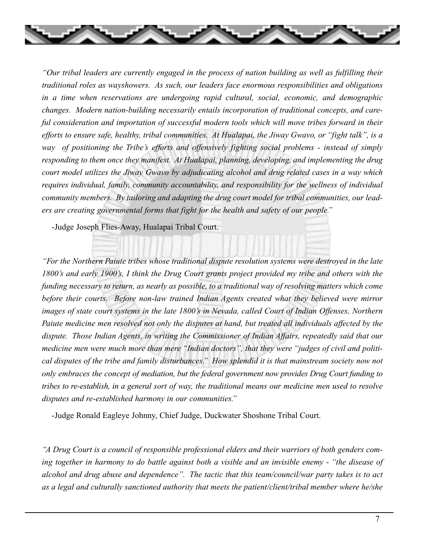

*"Our tribal leaders are currently engaged in the process of nation building as well as fulfilling their traditional roles as wayshowers. As such, our leaders face enormous responsibilities and obligations in a time when reservations are undergoing rapid cultural, social, economic, and demographic changes. Modern nation-building necessarily entails incorporation of traditional concepts, and careful consideration and importation of successful modern tools which will move tribes forward in their efforts to ensure safe, healthy, tribal communities. At Hualapai, the Jiway Gwavo, or "fight talk", is a way of positioning the Tribe's efforts and offensively fighting social problems - instead of simply responding to them once they manifest. At Hualapai, planning, developing, and implementing the drug court model utilizes the Jiway Gwavo by adjudicating alcohol and drug related cases in a way which requires individual, family, community accountability, and responsibility for the wellness of individual community members. By tailoring and adapting the drug court model for tribal communities, our leaders are creating governmental forms that fight for the health and safety of our people."* 

-Judge Joseph Flies-Away, Hualapai Tribal Court.

*"For the Northern Paiute tribes whose traditional dispute resolution systems were destroyed in the late 1800's and early 1900's, I think the Drug Court grants project provided my tribe and others with the funding necessary to return, as nearly as possible, to a traditional way of resolving matters which come before their courts. Before non-law trained Indian Agents created what they believed were mirror images of state court systems in the late 1800's in Nevada, called Court of Indian Offenses, Northern Paiute medicine men resolved not only the disputes at hand, but treated all individuals affected by the dispute. Those Indian Agents, in writing the Commissioner of Indian Affairs, repeatedly said that our medicine men were much more than mere "Indian doctors", that they were "judges of civil and political disputes of the tribe and family disturbances." How splendid it is that mainstream society now not only embraces the concept of mediation, but the federal government now provides Drug Court funding to tribes to re-establish, in a general sort of way, the traditional means our medicine men used to resolve disputes and re-established harmony in our communities."* 

-Judge Ronald Eagleye Johnny, Chief Judge, Duckwater Shoshone Tribal Court.

*"A Drug Court is a council of responsible professional elders and their warriors of both genders coming together in harmony to do battle against both a visible and an invisible enemy - "the disease of alcohol and drug abuse and dependence". The tactic that this team/council/war party takes is to act as a legal and culturally sanctioned authority that meets the patient/client/tribal member where he/she*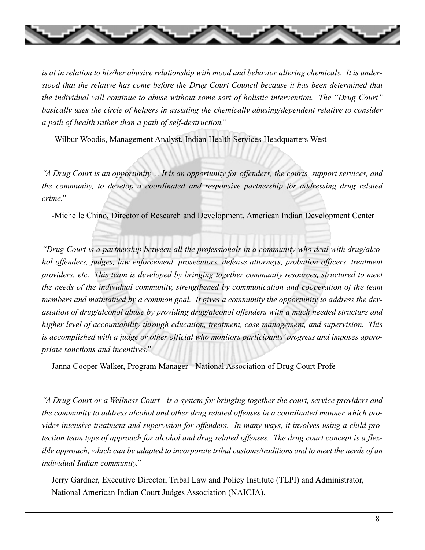

*is at in relation to his/her abusive relationship with mood and behavior altering chemicals. It is understood that the relative has come before the Drug Court Council because it has been determined that the individual will continue to abuse without some sort of holistic intervention. The "Drug Court" basically uses the circle of helpers in assisting the chemically abusing/dependent relative to consider a path of health rather than a path of self-destruction."* 

-Wilbur Woodis, Management Analyst, Indian Health Services Headquarters West

*"A Drug Court is an opportunity ... It is an opportunity for offenders, the courts, support services, and the community, to develop a coordinated and responsive partnership for addressing drug related crime."* 

-Michelle Chino, Director of Research and Development, American Indian Development Center

*"Drug Court is a partnership between all the professionals in a community who deal with drug/alcohol offenders, judges, law enforcement, prosecutors, defense attorneys, probation officers, treatment providers, etc. This team is developed by bringing together community resources, structured to meet the needs of the individual community, strengthened by communication and cooperation of the team members and maintained by a common goal. It gives a community the opportunity to address the devastation of drug/alcohol abuse by providing drug/alcohol offenders with a much needed structure and higher level of accountability through education, treatment, case management, and supervision. This is accomplished with a judge or other official who monitors participants' progress and imposes appropriate sanctions and incentives."*

Janna Cooper Walker, Program Manager - National Association of Drug Court Profe

*"A Drug Court or a Wellness Court - is a system for bringing together the court, service providers and the community to address alcohol and other drug related offenses in a coordinated manner which provides intensive treatment and supervision for offenders. In many ways, it involves using a child protection team type of approach for alcohol and drug related offenses. The drug court concept is a flexible approach, which can be adapted to incorporate tribal customs/traditions and to meet the needs of an individual Indian community."*

Jerry Gardner, Executive Director, Tribal Law and Policy Institute (TLPI) and Administrator, National American Indian Court Judges Association (NAICJA).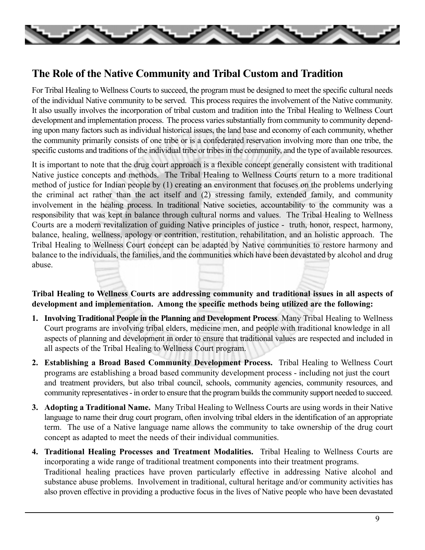

# **The Role of the Native Community and Tribal Custom and Tradition**

For Tribal Healing to Wellness Courts to succeed, the program must be designed to meet the specific cultural needs of the individual Native community to be served. This process requires the involvement of the Native community. It also usually involves the incorporation of tribal custom and tradition into the Tribal Healing to Wellness Court development and implementation process. The process varies substantially from community to community depending upon many factors such as individual historical issues, the land base and economy of each community, whether the community primarily consists of one tribe or is a confederated reservation involving more than one tribe, the specific customs and traditions of the individual tribe or tribes in the community, and the type of available resources.

It is important to note that the drug court approach is a flexible concept generally consistent with traditional Native justice concepts and methods. The Tribal Healing to Wellness Courts return to a more traditional method of justice for Indian people by (1) creating an environment that focuses on the problems underlying the criminal act rather than the act itself and (2) stressing family, extended family, and community involvement in the healing process. In traditional Native societies, accountability to the community was a responsibility that was kept in balance through cultural norms and values. The Tribal Healing to Wellness Courts are a modern revitalization of guiding Native principles of justice - truth, honor, respect, harmony, balance, healing, wellness, apology or contrition, restitution, rehabilitation, and an holistic approach. The Tribal Healing to Wellness Court concept can be adapted by Native communities to restore harmony and balance to the individuals, the families, and the communities which have been devastated by alcohol and drug abuse.

#### **Tribal Healing to Wellness Courts are addressing community and traditional issues in all aspects of development and implementation. Among the specific methods being utilized are the following:**

- **1. Involving Traditional People in the Planning and Development Process**. Many Tribal Healing to Wellness Court programs are involving tribal elders, medicine men, and people with traditional knowledge in all aspects of planning and development in order to ensure that traditional values are respected and included in all aspects of the Tribal Healing to Wellness Court program.
- **2. Establishing a Broad Based Community Development Process.** Tribal Healing to Wellness Court programs are establishing a broad based community development process - including not just the court and treatment providers, but also tribal council, schools, community agencies, community resources, and community representatives - in order to ensure that the program builds the community support needed to succeed.
- **3. Adopting a Traditional Name.** Many Tribal Healing to Wellness Courts are using words in their Native language to name their drug court program, often involving tribal elders in the identification of an appropriate term. The use of a Native language name allows the community to take ownership of the drug court concept as adapted to meet the needs of their individual communities.
- **4. Traditional Healing Processes and Treatment Modalities.** Tribal Healing to Wellness Courts are incorporating a wide range of traditional treatment components into their treatment programs. Traditional healing practices have proven particularly effective in addressing Native alcohol and substance abuse problems. Involvement in traditional, cultural heritage and/or community activities has also proven effective in providing a productive focus in the lives of Native people who have been devastated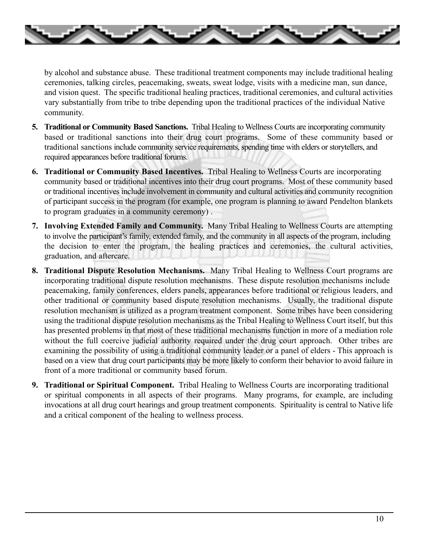

by alcohol and substance abuse. These traditional treatment components may include traditional healing ceremonies, talking circles, peacemaking, sweats, sweat lodge, visits with a medicine man, sun dance, and vision quest. The specific traditional healing practices, traditional ceremonies, and cultural activities vary substantially from tribe to tribe depending upon the traditional practices of the individual Native community.

- **5. Traditional or Community Based Sanctions.** Tribal Healing to Wellness Courts are incorporating community based or traditional sanctions into their drug court programs. Some of these community based or traditional sanctions include community service requirements, spending time with elders or storytellers, and required appearances before traditional forums.
- **6. Traditional or Community Based Incentives.** Tribal Healing to Wellness Courts are incorporating community based or traditional incentives into their drug court programs. Most of these community based or traditional incentives include involvement in community and cultural activities and community recognition of participant success in the program (for example, one program is planning to award Pendelton blankets to program graduates in a community ceremony) .
- **7. Involving Extended Family and Community.** Many Tribal Healing to Wellness Courts are attempting to involve the participant's family, extended family, and the community in all aspects of the program, including the decision to enter the program, the healing practices and ceremonies, the cultural activities, graduation, and aftercare.
- **8. Traditional Dispute Resolution Mechanisms.** Many Tribal Healing to Wellness Court programs are incorporating traditional dispute resolution mechanisms. These dispute resolution mechanisms include peacemaking, family conferences, elders panels, appearances before traditional or religious leaders, and other traditional or community based dispute resolution mechanisms. Usually, the traditional dispute resolution mechanism is utilized as a program treatment component. Some tribes have been considering using the traditional dispute resolution mechanisms as the Tribal Healing to Wellness Court itself, but this has presented problems in that most of these traditional mechanisms function in more of a mediation role without the full coercive judicial authority required under the drug court approach. Other tribes are examining the possibility of using a traditional community leader or a panel of elders - This approach is based on a view that drug court participants may be more likely to conform their behavior to avoid failure in front of a more traditional or community based forum.
- **9. Traditional or Spiritual Component.** Tribal Healing to Wellness Courts are incorporating traditional or spiritual components in all aspects of their programs. Many programs, for example, are including invocations at all drug court hearings and group treatment components. Spirituality is central to Native life and a critical component of the healing to wellness process.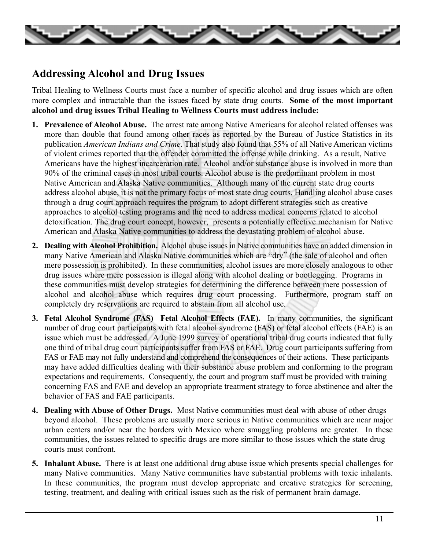

# **Addressing Alcohol and Drug Issues**

Tribal Healing to Wellness Courts must face a number of specific alcohol and drug issues which are often more complex and intractable than the issues faced by state drug courts. **Some of the most important alcohol and drug issues Tribal Healing to Wellness Courts must address include:**

- **1. Prevalence of Alcohol Abuse.** The arrest rate among Native Americans for alcohol related offenses was more than double that found among other races as reported by the Bureau of Justice Statistics in its publication *American Indians and Crime*. That study also found that 55% of all Native American victims of violent crimes reported that the offender committed the offense while drinking. As a result, Native Americans have the highest incarceration rate. Alcohol and/or substance abuse is involved in more than 90% of the criminal cases in most tribal courts. Alcohol abuse is the predominant problem in most Native American and Alaska Native communities. Although many of the current state drug courts address alcohol abuse, it is not the primary focus of most state drug courts. Handling alcohol abuse cases through a drug court approach requires the program to adopt different strategies such as creative approaches to alcohol testing programs and the need to address medical concerns related to alcohol detoxification. The drug court concept, however, presents a potentially effective mechanism for Native American and Alaska Native communities to address the devastating problem of alcohol abuse.
- **2. Dealing with Alcohol Prohibition.** Alcohol abuse issues in Native communities have an added dimension in many Native American and Alaska Native communities which are "dry" (the sale of alcohol and often mere possession is prohibited). In these communities, alcohol issues are more closely analogous to other drug issues where mere possession is illegal along with alcohol dealing or bootlegging. Programs in these communities must develop strategies for determining the difference between mere possession of alcohol and alcohol abuse which requires drug court processing. Furthermore, program staff on completely dry reservations are required to abstain from all alcohol use.
- **3. Fetal Alcohol Syndrome (FAS) Fetal Alcohol Effects (FAE).** In many communities, the significant number of drug court participants with fetal alcohol syndrome (FAS) or fetal alcohol effects (FAE) is an issue which must be addressed. A June 1999 survey of operational tribal drug courts indicated that fully one third of tribal drug court participants suffer from FAS or FAE. Drug court participants suffering from FAS or FAE may not fully understand and comprehend the consequences of their actions. These participants may have added difficulties dealing with their substance abuse problem and conforming to the program expectations and requirements. Consequently, the court and program staff must be provided with training concerning FAS and FAE and develop an appropriate treatment strategy to force abstinence and alter the behavior of FAS and FAE participants.
- **4. Dealing with Abuse of Other Drugs.** Most Native communities must deal with abuse of other drugs beyond alcohol. These problems are usually more serious in Native communities which are near major urban centers and/or near the borders with Mexico where smuggling problems are greater. In these communities, the issues related to specific drugs are more similar to those issues which the state drug courts must confront.
- **5. Inhalant Abuse.** There is at least one additional drug abuse issue which presents special challenges for many Native communities. Many Native communities have substantial problems with toxic inhalants. In these communities, the program must develop appropriate and creative strategies for screening, testing, treatment, and dealing with critical issues such as the risk of permanent brain damage.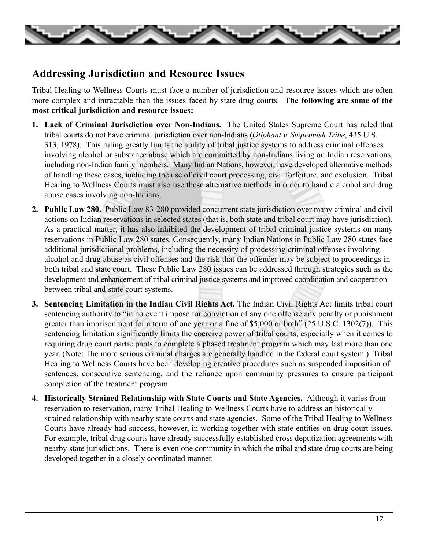

# **Addressing Jurisdiction and Resource Issues**

Tribal Healing to Wellness Courts must face a number of jurisdiction and resource issues which are often more complex and intractable than the issues faced by state drug courts. **The following are some of the most critical jurisdiction and resource issues:**

- **1. Lack of Criminal Jurisdiction over Non-Indians.** The United States Supreme Court has ruled that tribal courts do not have criminal jurisdiction over non-Indians (*Oliphant v. Suquamish Tribe*, 435 U.S. 313, 1978). This ruling greatly limits the ability of tribal justice systems to address criminal offenses involving alcohol or substance abuse which are committed by non-Indians living on Indian reservations, including non-Indian family members. Many Indian Nations, however, have developed alternative methods of handling these cases, including the use of civil court processing, civil forfeiture, and exclusion. Tribal Healing to Wellness Courts must also use these alternative methods in order to handle alcohol and drug abuse cases involving non-Indians.
- **2. Public Law 280.** Public Law 83-280 provided concurrent state jurisdiction over many criminal and civil actions on Indian reservations in selected states (that is, both state and tribal court may have jurisdiction). As a practical matter, it has also inhibited the development of tribal criminal justice systems on many reservations in Public Law 280 states. Consequently, many Indian Nations in Public Law 280 states face additional jurisdictional problems, including the necessity of processing criminal offenses involving alcohol and drug abuse as civil offenses and the risk that the offender may be subject to proceedings in both tribal and state court. These Public Law 280 issues can be addressed through strategies such as the development and enhancement of tribal criminal justice systems and improved coordination and cooperation between tribal and state court systems.
- **3. Sentencing Limitation in the Indian Civil Rights Act.** The Indian Civil Rights Act limits tribal court sentencing authority to "in no event impose for conviction of any one offense any penalty or punishment greater than imprisonment for a term of one year or a fine of \$5,000 or both" (25 U.S.C. 1302(7)). This sentencing limitation significantly limits the coercive power of tribal courts, especially when it comes to requiring drug court participants to complete a phased treatment program which may last more than one year. (Note: The more serious criminal charges are generally handled in the federal court system.) Tribal Healing to Wellness Courts have been developing creative procedures such as suspended imposition of sentences, consecutive sentencing, and the reliance upon community pressures to ensure participant completion of the treatment program.
- **4. Historically Strained Relationship with State Courts and State Agencies.** Although it varies from reservation to reservation, many Tribal Healing to Wellness Courts have to address an historically strained relationship with nearby state courts and state agencies. Some of the Tribal Healing to Wellness Courts have already had success, however, in working together with state entities on drug court issues. For example, tribal drug courts have already successfully established cross deputization agreements with nearby state jurisdictions. There is even one community in which the tribal and state drug courts are being developed together in a closely coordinated manner.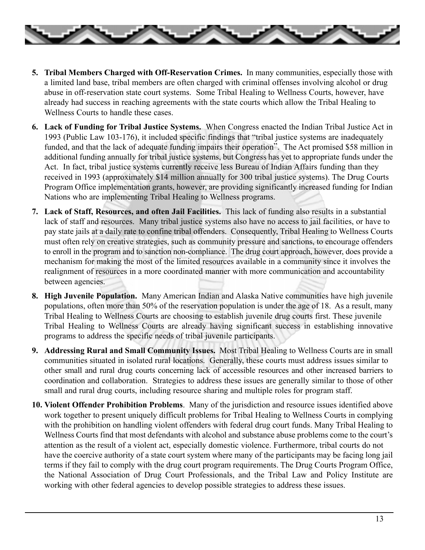

- **5. Tribal Members Charged with Off-Reservation Crimes.** In many communities, especially those with a limited land base, tribal members are often charged with criminal offenses involving alcohol or drug abuse in off-reservation state court systems. Some Tribal Healing to Wellness Courts, however, have already had success in reaching agreements with the state courts which allow the Tribal Healing to Wellness Courts to handle these cases.
- **6. Lack of Funding for Tribal Justice Systems.** When Congress enacted the Indian Tribal Justice Act in 1993 (Public Law 103-176), it included specific findings that "tribal justice systems are inadequately funded, and that the lack of adequate funding impairs their operation". The Act promised \$58 million in additional funding annually for tribal justice systems, but Congress has yet to appropriate funds under the Act. In fact, tribal justice systems currently receive less Bureau of Indian Affairs funding than they received in 1993 (approximately \$14 million annually for 300 tribal justice systems). The Drug Courts Program Office implementation grants, however, are providing significantly increased funding for Indian Nations who are implementing Tribal Healing to Wellness programs.
- **7. Lack of Staff, Resources, and often Jail Facilities.** This lack of funding also results in a substantial lack of staff and resources. Many tribal justice systems also have no access to jail facilities, or have to pay state jails at a daily rate to confine tribal offenders. Consequently, Tribal Healing to Wellness Courts must often rely on creative strategies, such as community pressure and sanctions, to encourage offenders to enroll in the program and to sanction non-compliance. The drug court approach, however, does provide a mechanism for making the most of the limited resources available in a community since it involves the realignment of resources in a more coordinated manner with more communication and accountability between agencies.
- **8. High Juvenile Population.** Many American Indian and Alaska Native communities have high juvenile populations, often more than 50% of the reservation population is under the age of 18. As a result, many Tribal Healing to Wellness Courts are choosing to establish juvenile drug courts first. These juvenile Tribal Healing to Wellness Courts are already having significant success in establishing innovative programs to address the specific needs of tribal juvenile participants.
- **9. Addressing Rural and Small Community Issues.** Most Tribal Healing to Wellness Courts are in small communities situated in isolated rural locations. Generally, these courts must address issues similar to other small and rural drug courts concerning lack of accessible resources and other increased barriers to coordination and collaboration. Strategies to address these issues are generally similar to those of other small and rural drug courts, including resource sharing and multiple roles for program staff.
- **10. Violent Offender Prohibition Problems**. Many of the jurisdiction and resource issues identified above work together to present uniquely difficult problems for Tribal Healing to Wellness Courts in complying with the prohibition on handling violent offenders with federal drug court funds. Many Tribal Healing to Wellness Courts find that most defendants with alcohol and substance abuse problems come to the court's attention as the result of a violent act, especially domestic violence. Furthermore, tribal courts do not have the coercive authority of a state court system where many of the participants may be facing long jail terms if they fail to comply with the drug court program requirements. The Drug Courts Program Office, the National Association of Drug Court Professionals, and the Tribal Law and Policy Institute are working with other federal agencies to develop possible strategies to address these issues.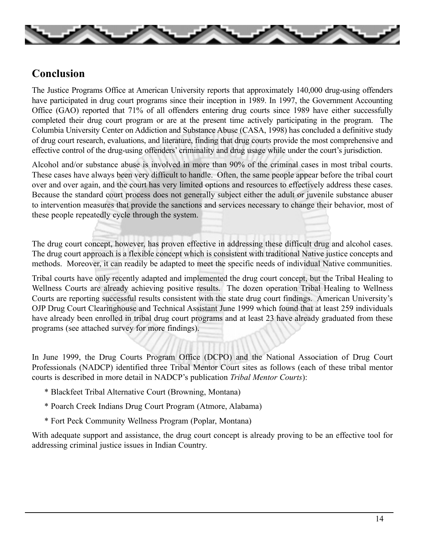

# **Conclusion**

The Justice Programs Office at American University reports that approximately 140,000 drug-using offenders have participated in drug court programs since their inception in 1989. In 1997, the Government Accounting Office (GAO) reported that 71% of all offenders entering drug courts since 1989 have either successfully completed their drug court program or are at the present time actively participating in the program. The Columbia University Center on Addiction and Substance Abuse (CASA, 1998) has concluded a definitive study of drug court research, evaluations, and literature, finding that drug courts provide the most comprehensive and effective control of the drug-using offenders' criminality and drug usage while under the court's jurisdiction.

Alcohol and/or substance abuse is involved in more than 90% of the criminal cases in most tribal courts. These cases have always been very difficult to handle. Often, the same people appear before the tribal court over and over again, and the court has very limited options and resources to effectively address these cases. Because the standard court process does not generally subject either the adult or juvenile substance abuser to intervention measures that provide the sanctions and services necessary to change their behavior, most of these people repeatedly cycle through the system.

The drug court concept, however, has proven effective in addressing these difficult drug and alcohol cases. The drug court approach is a flexible concept which is consistent with traditional Native justice concepts and methods. Moreover, it can readily be adapted to meet the specific needs of individual Native communities.

Tribal courts have only recently adapted and implemented the drug court concept, but the Tribal Healing to Wellness Courts are already achieving positive results. The dozen operation Tribal Healing to Wellness Courts are reporting successful results consistent with the state drug court findings. American University's OJP Drug Court Clearinghouse and Technical Assistant June 1999 which found that at least 259 individuals have already been enrolled in tribal drug court programs and at least 23 have already graduated from these programs (see attached survey for more findings).

In June 1999, the Drug Courts Program Office (DCPO) and the National Association of Drug Court Professionals (NADCP) identified three Tribal Mentor Court sites as follows (each of these tribal mentor courts is described in more detail in NADCP's publication *Tribal Mentor Courts*):

- \* Blackfeet Tribal Alternative Court (Browning, Montana)
- \* Poarch Creek Indians Drug Court Program (Atmore, Alabama)
- \* Fort Peck Community Wellness Program (Poplar, Montana)

With adequate support and assistance, the drug court concept is already proving to be an effective tool for addressing criminal justice issues in Indian Country.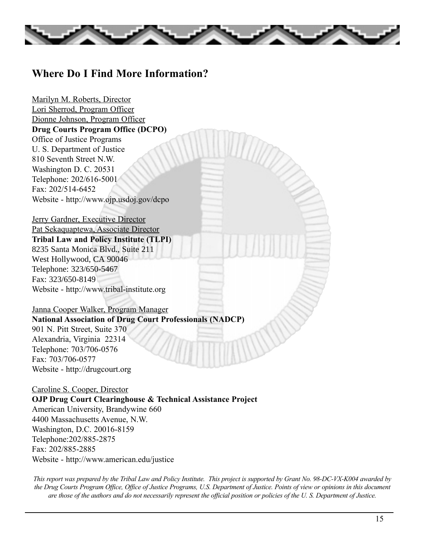

### **Where Do I Find More Information?**

Marilyn M. Roberts, Director Lori Sherrod, Program Officer Dionne Johnson, Program Officer **Drug Courts Program Office (DCPO)** Office of Justice Programs U. S. Department of Justice 810 Seventh Street N.W. Washington D. C. 20531 Telephone: 202/616-5001 Fax: 202/514-6452 Website - http://www.ojp.usdoj.gov/dcpo

Jerry Gardner, Executive Director Pat Sekaquaptewa, Associate Director **Tribal Law and Policy Institute (TLPI)** 8235 Santa Monica Blvd., Suite 211 West Hollywood, CA 90046 Telephone: 323/650-5467 Fax: 323/650-8149 Website - http://www.tribal-institute.org

Janna Cooper Walker, Program Manager **National Association of Drug Court Professionals (NADCP)** 901 N. Pitt Street, Suite 370 Alexandria, Virginia 22314 Telephone: 703/706-0576 Fax: 703/706-0577 Website - http://drugcourt.org

Caroline S. Cooper, Director **OJP Drug Court Clearinghouse & Technical Assistance Project** American University, Brandywine 660 4400 Massachusetts Avenue, N.W. Washington, D.C. 20016-8159 Telephone:202/885-2875 Fax: 202/885-2885 Website - http://www.american.edu/justice

*This report was prepared by the Tribal Law and Policy Institute. This project is supported by Grant No. 98-DC-VX-K004 awarded by the Drug Courts Program Office, Office of Justice Programs, U.S. Department of Justice. Points of view or opinions in this document are those of the authors and do not necessarily represent the official position or policies of the U. S. Department of Justice.*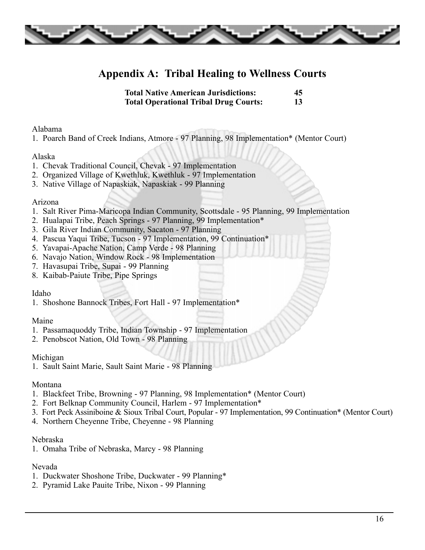

# **Appendix A: Tribal Healing to Wellness Courts**

| <b>Total Native American Jurisdictions:</b>  | 45 |
|----------------------------------------------|----|
| <b>Total Operational Tribal Drug Courts:</b> | 13 |

#### Alabama

1. Poarch Band of Creek Indians, Atmore - 97 Planning, 98 Implementation\* (Mentor Court)

#### Alaska

- 1. Chevak Traditional Council, Chevak 97 Implementation
- 2. Organized Village of Kwethluk, Kwethluk 97 Implementation
- 3. Native Village of Napaskiak, Napaskiak 99 Planning

#### Arizona

- 1. Salt River Pima-Maricopa Indian Community, Scottsdale 95 Planning, 99 Implementation
- 2. Hualapai Tribe, Peach Springs 97 Planning, 99 Implementation\*
- 3. Gila River Indian Community, Sacaton 97 Planning
- 4. Pascua Yaqui Tribe, Tucson 97 Implementation, 99 Continuation\*
- 5. Yavapai-Apache Nation, Camp Verde 98 Planning
- 6. Navajo Nation, Window Rock 98 Implementation
- 7. Havasupai Tribe, Supai 99 Planning
- 8. Kaibab-Paiute Tribe, Pipe Springs

#### Idaho

1. Shoshone Bannock Tribes, Fort Hall - 97 Implementation\*

#### Maine

- 1. Passamaquoddy Tribe, Indian Township 97 Implementation
- 2. Penobscot Nation, Old Town 98 Planning

#### Michigan

1. Sault Saint Marie, Sault Saint Marie - 98 Planning

#### Montana

- 1. Blackfeet Tribe, Browning 97 Planning, 98 Implementation\* (Mentor Court)
- 2. Fort Belknap Community Council, Harlem 97 Implementation\*
- 3. Fort Peck Assiniboine & Sioux Tribal Court, Popular 97 Implementation, 99 Continuation\* (Mentor Court)

4. Northern Cheyenne Tribe, Cheyenne - 98 Planning

#### Nebraska

1. Omaha Tribe of Nebraska, Marcy - 98 Planning

#### Nevada

- 1. Duckwater Shoshone Tribe, Duckwater 99 Planning\*
- 2. Pyramid Lake Pauite Tribe, Nixon 99 Planning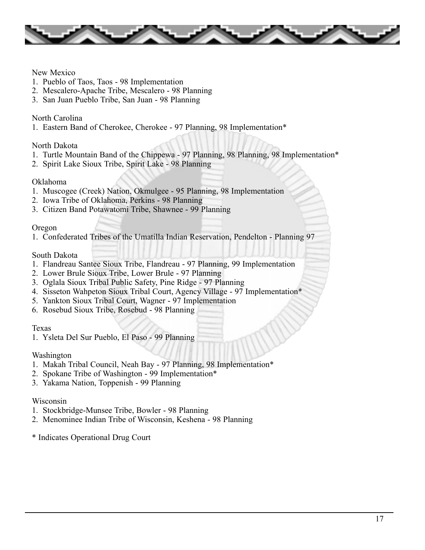

#### New Mexico

- 1. Pueblo of Taos, Taos 98 Implementation
- 2. Mescalero-Apache Tribe, Mescalero 98 Planning
- 3. San Juan Pueblo Tribe, San Juan 98 Planning

#### North Carolina

1. Eastern Band of Cherokee, Cherokee - 97 Planning, 98 Implementation\*

#### North Dakota

- 1. Turtle Mountain Band of the Chippewa 97 Planning, 98 Planning, 98 Implementation\*
- 2. Spirit Lake Sioux Tribe, Spirit Lake 98 Planning

#### Oklahoma

- 1. Muscogee (Creek) Nation, Okmulgee 95 Planning, 98 Implementation
- 2. Iowa Tribe of Oklahoma, Perkins 98 Planning
- 3. Citizen Band Potawatomi Tribe, Shawnee 99 Planning

#### Oregon

1. Confederated Tribes of the Umatilla Indian Reservation, Pendelton - Planning 97

#### South Dakota

- 1. Flandreau Santee Sioux Tribe, Flandreau 97 Planning, 99 Implementation
- 2. Lower Brule Sioux Tribe, Lower Brule 97 Planning
- 3. Oglala Sioux Tribal Public Safety, Pine Ridge 97 Planning
- 4. Sisseton Wahpeton Sioux Tribal Court, Agency Village 97 Implementation\*
- 5. Yankton Sioux Tribal Court, Wagner 97 Implementation
- 6. Rosebud Sioux Tribe, Rosebud 98 Planning

#### Texas

1. Ysleta Del Sur Pueblo, El Paso - 99 Planning

#### Washington

- 1. Makah Tribal Council, Neah Bay 97 Planning, 98 Implementation\*
- 2. Spokane Tribe of Washington 99 Implementation\*
- 3. Yakama Nation, Toppenish 99 Planning

#### Wisconsin

- 1. Stockbridge-Munsee Tribe, Bowler 98 Planning
- 2. Menominee Indian Tribe of Wisconsin, Keshena 98 Planning
- \* Indicates Operational Drug Court